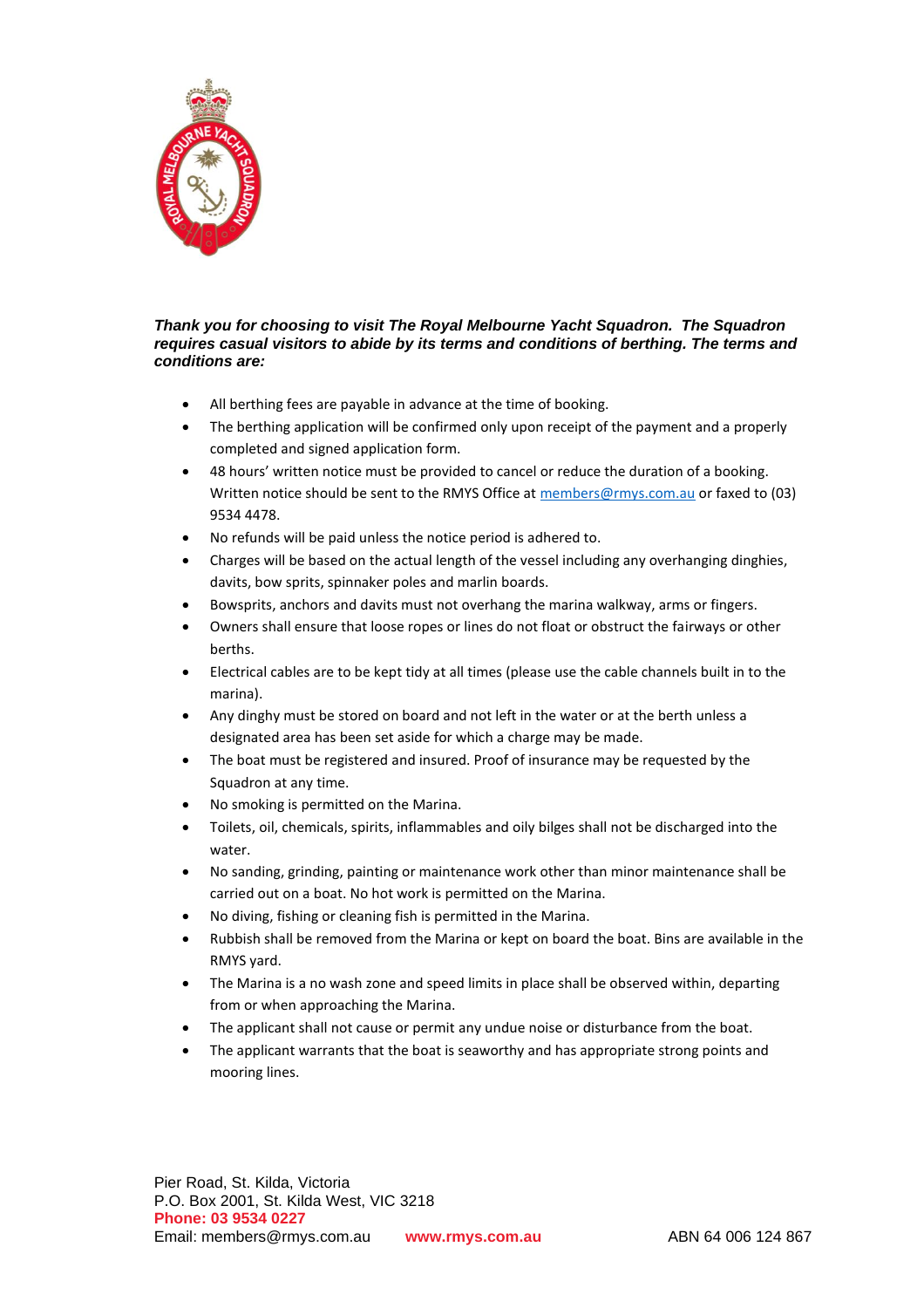

## *Thank you for choosing to visit The Royal Melbourne Yacht Squadron. The Squadron requires casual visitors to abide by its terms and conditions of berthing. The terms and conditions are:*

- All berthing fees are payable in advance at the time of booking.
- The berthing application will be confirmed only upon receipt of the payment and a properly completed and signed application form.
- 48 hours' written notice must be provided to cancel or reduce the duration of a booking. Written notice should be sent to the RMYS Office at [members@rmys.com.au](mailto:office@rmys.com.au) or faxed to (03) 9534 4478.
- No refunds will be paid unless the notice period is adhered to.
- Charges will be based on the actual length of the vessel including any overhanging dinghies, davits, bow sprits, spinnaker poles and marlin boards.
- Bowsprits, anchors and davits must not overhang the marina walkway, arms or fingers.
- Owners shall ensure that loose ropes or lines do not float or obstruct the fairways or other berths.
- Electrical cables are to be kept tidy at all times (please use the cable channels built in to the marina).
- Any dinghy must be stored on board and not left in the water or at the berth unless a designated area has been set aside for which a charge may be made.
- The boat must be registered and insured. Proof of insurance may be requested by the Squadron at any time.
- No smoking is permitted on the Marina.
- Toilets, oil, chemicals, spirits, inflammables and oily bilges shall not be discharged into the water.
- No sanding, grinding, painting or maintenance work other than minor maintenance shall be carried out on a boat. No hot work is permitted on the Marina.
- No diving, fishing or cleaning fish is permitted in the Marina.
- Rubbish shall be removed from the Marina or kept on board the boat. Bins are available in the RMYS yard.
- The Marina is a no wash zone and speed limits in place shall be observed within, departing from or when approaching the Marina.
- The applicant shall not cause or permit any undue noise or disturbance from the boat.
- The applicant warrants that the boat is seaworthy and has appropriate strong points and mooring lines.